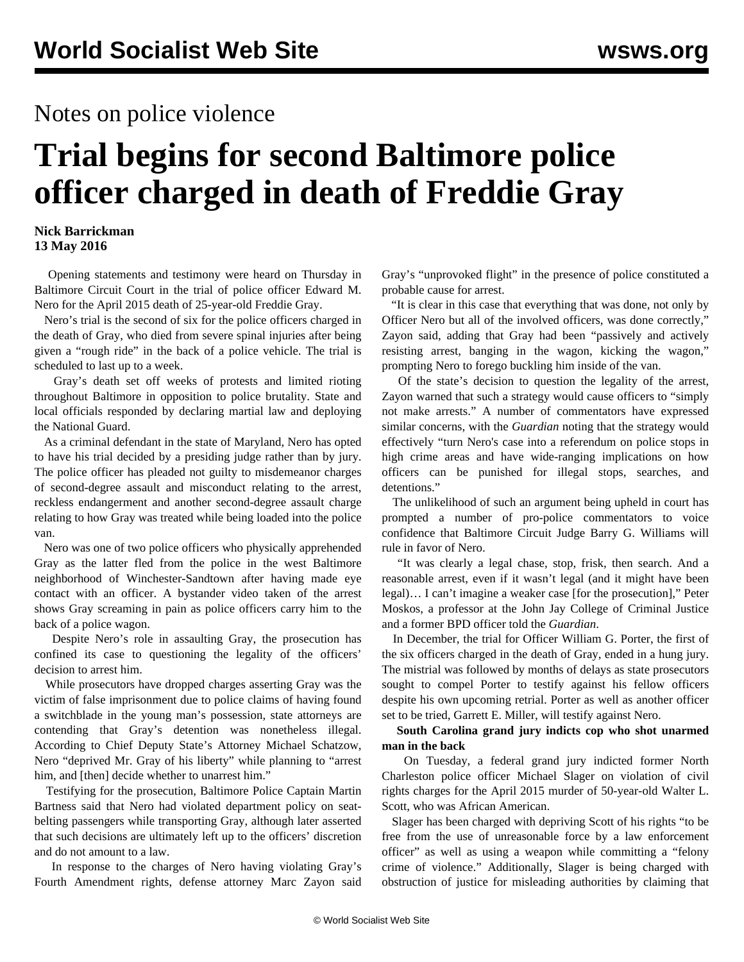## Notes on police violence

# **Trial begins for second Baltimore police officer charged in death of Freddie Gray**

#### **Nick Barrickman 13 May 2016**

 Opening statements and testimony were heard on Thursday in Baltimore Circuit Court in the trial of police officer Edward M. Nero for the April 2015 death of 25-year-old Freddie Gray.

 Nero's trial is the second of six for the police officers charged in the death of Gray, who died from severe spinal injuries after being given a "rough ride" in the back of a police vehicle. The trial is scheduled to last up to a week.

 Gray's death set off weeks of protests and limited rioting throughout Baltimore in opposition to police brutality. State and local officials responded by declaring martial law and deploying the National Guard.

 As a criminal defendant in the state of Maryland, Nero has opted to have his trial decided by a presiding judge rather than by jury. The police officer has pleaded not guilty to misdemeanor charges of second-degree assault and misconduct relating to the arrest, reckless endangerment and another second-degree assault charge relating to how Gray was treated while being loaded into the police van.

 Nero was one of two police officers who physically apprehended Gray as the latter fled from the police in the west Baltimore neighborhood of Winchester-Sandtown after having made eye contact with an officer. A bystander [video](https://www.youtube.com/watch?v=7YV0EtkWyno) taken of the arrest shows Gray screaming in pain as police officers carry him to the back of a police wagon.

 Despite Nero's role in assaulting Gray, the prosecution has confined its case to questioning the legality of the officers' decision to arrest him.

 While prosecutors have dropped charges asserting Gray was the victim of false imprisonment due to police claims of having found a switchblade in the young man's possession, state attorneys are contending that Gray's detention was nonetheless illegal. According to Chief Deputy State's Attorney Michael Schatzow, Nero "deprived Mr. Gray of his liberty" while planning to "arrest him, and [then] decide whether to unarrest him."

 Testifying for the prosecution, Baltimore Police Captain Martin Bartness said that Nero had violated department policy on seatbelting passengers while transporting Gray, although later asserted that such decisions are ultimately left up to the officers' discretion and do not amount to a law.

 In response to the charges of Nero having violating Gray's Fourth Amendment rights, defense attorney Marc Zayon said

Gray's "unprovoked flight" in the presence of police constituted a probable cause for arrest.

 "It is clear in this case that everything that was done, not only by Officer Nero but all of the involved officers, was done correctly," Zayon said, adding that Gray had been "passively and actively resisting arrest, banging in the wagon, kicking the wagon," prompting Nero to forego buckling him inside of the van.

 Of the state's decision to question the legality of the arrest, Zayon warned that such a strategy would cause officers to "simply not make arrests." A number of commentators have expressed similar concerns, with the *Guardian* noting that the strategy would effectively "turn Nero's case into a referendum on police stops in high crime areas and have wide-ranging implications on how officers can be punished for illegal stops, searches, and detentions."

 The unlikelihood of such an argument being upheld in court has prompted a number of pro-police commentators to voice confidence that Baltimore Circuit Judge Barry G. Williams will rule in favor of Nero.

 "It was clearly a legal chase, stop, frisk, then search. And a reasonable arrest, even if it wasn't legal (and it might have been legal)… I can't imagine a weaker case [for the prosecution]," Peter Moskos, a professor at the John Jay College of Criminal Justice and a former BPD officer told the *Guardian*.

 In December, the trial for Officer William G. Porter, the first of the six officers charged in the death of Gray, ended in a hung jury. The mistrial was followed by months of delays as state prosecutors sought to compel Porter to testify against his fellow officers despite his own upcoming retrial. Porter as well as another officer set to be tried, Garrett E. Miller, will testify against Nero.

 **South Carolina grand jury indicts cop who shot unarmed man in the back**

 On Tuesday, a federal grand jury indicted former North Charleston police officer Michael Slager on violation of civil rights charges for the April 2015 murder of 50-year-old Walter L. Scott, who was African American.

 Slager has been charged with depriving Scott of his rights "to be free from the use of unreasonable force by a law enforcement officer" as well as using a weapon while committing a "felony crime of violence." Additionally, Slager is being charged with obstruction of justice for misleading authorities by claiming that